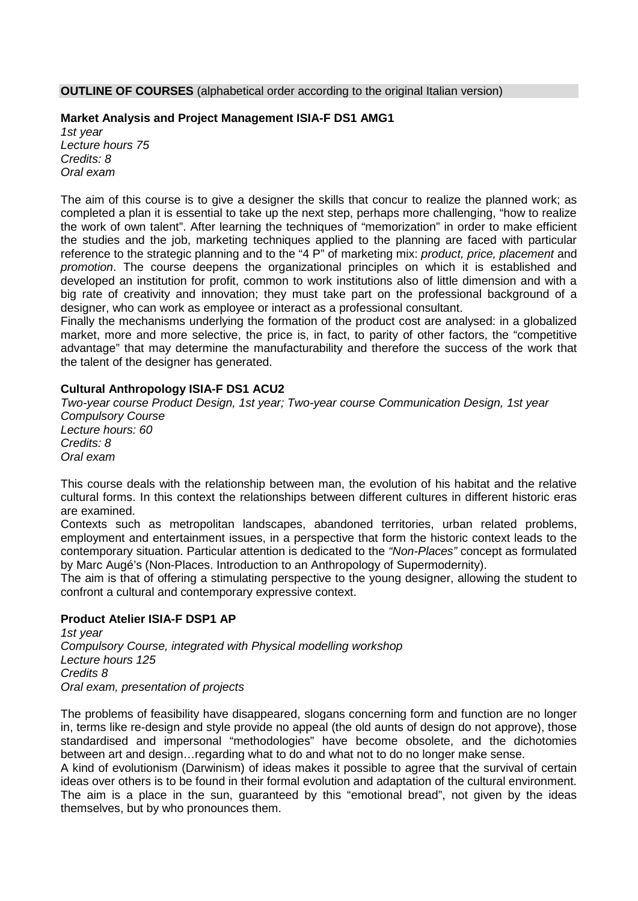**OUTLINE OF COURSES** (alphabetical order according to the original Italian version)

### **Market Analysis and Project Management ISIA-F DS1 AMG1**

*1st year Lecture hours 75 Credits: 8 Oral exam*

The aim of this course is to give a designer the skills that concur to realize the planned work; as completed a plan it is essential to take up the next step, perhaps more challenging, "how to realize the work of own talent". After learning the techniques of "memorization" in order to make efficient the studies and the job, marketing techniques applied to the planning are faced with particular reference to the strategic planning and to the "4 P" of marketing mix: *product, price, placement* and *promotion*. The course deepens the organizational principles on which it is established and developed an institution for profit, common to work institutions also of little dimension and with a big rate of creativity and innovation; they must take part on the professional background of a designer, who can work as employee or interact as a professional consultant.

Finally the mechanisms underlying the formation of the product cost are analysed: in a globalized market, more and more selective, the price is, in fact, to parity of other factors, the "competitive advantage" that may determine the manufacturability and therefore the success of the work that the talent of the designer has generated.

## **Cultural Anthropology ISIA-F DS1 ACU2**

*Two-year course Product Design, 1st year; Two-year course Communication Design, 1st year Compulsory Course Lecture hours: 60 Credits: 8 Oral exam*

This course deals with the relationship between man, the evolution of his habitat and the relative cultural forms. In this context the relationships between different cultures in different historic eras are examined.

Contexts such as metropolitan landscapes, abandoned territories, urban related problems, employment and entertainment issues, in a perspective that form the historic context leads to the contemporary situation. Particular attention is dedicated to the *"Non-Places"* concept as formulated by Marc Augé's (Non-Places. Introduction to an Anthropology of Supermodernity).

The aim is that of offering a stimulating perspective to the young designer, allowing the student to confront a cultural and contemporary expressive context.

## **Product Atelier ISIA-F DSP1 AP**

*1st year Compulsory Course, integrated with Physical modelling workshop Lecture hours 125 Credits 8 Oral exam, presentation of projects*

The problems of feasibility have disappeared, slogans concerning form and function are no longer in, terms like re-design and style provide no appeal (the old aunts of design do not approve), those standardised and impersonal "methodologies" have become obsolete, and the dichotomies between art and design…regarding what to do and what not to do no longer make sense.

A kind of evolutionism (Darwinism) of ideas makes it possible to agree that the survival of certain ideas over others is to be found in their formal evolution and adaptation of the cultural environment. The aim is a place in the sun, guaranteed by this "emotional bread", not given by the ideas themselves, but by who pronounces them.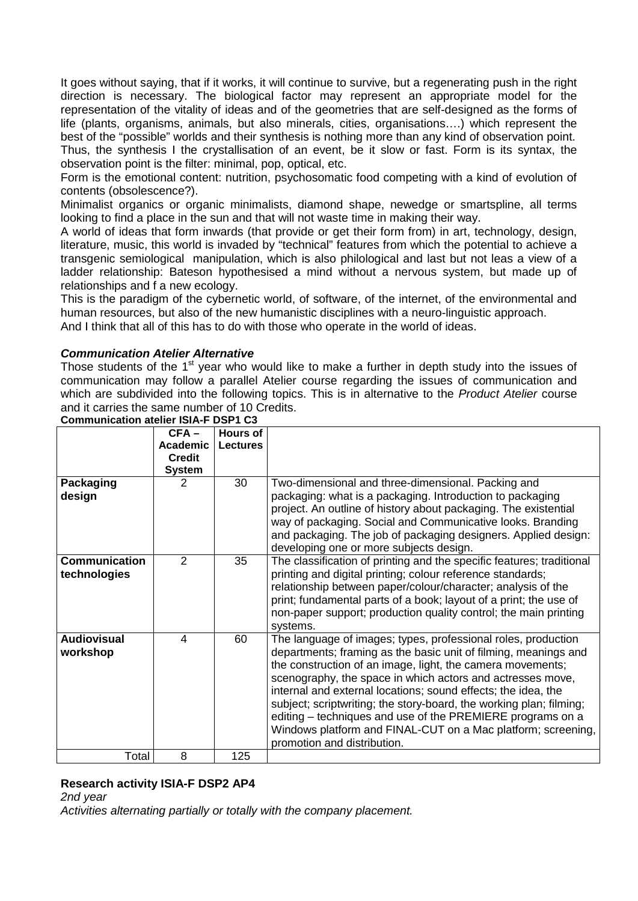It goes without saying, that if it works, it will continue to survive, but a regenerating push in the right direction is necessary. The biological factor may represent an appropriate model for the representation of the vitality of ideas and of the geometries that are self-designed as the forms of life (plants, organisms, animals, but also minerals, cities, organisations….) which represent the best of the "possible" worlds and their synthesis is nothing more than any kind of observation point. Thus, the synthesis I the crystallisation of an event, be it slow or fast. Form is its syntax, the observation point is the filter: minimal, pop, optical, etc.

Form is the emotional content: nutrition, psychosomatic food competing with a kind of evolution of contents (obsolescence?).

Minimalist organics or organic minimalists, diamond shape, newedge or smartspline, all terms looking to find a place in the sun and that will not waste time in making their way.

A world of ideas that form inwards (that provide or get their form from) in art, technology, design, literature, music, this world is invaded by "technical" features from which the potential to achieve a transgenic semiological manipulation, which is also philological and last but not leas a view of a ladder relationship: Bateson hypothesised a mind without a nervous system, but made up of relationships and f a new ecology.

This is the paradigm of the cybernetic world, of software, of the internet, of the environmental and human resources, but also of the new humanistic disciplines with a neuro-linguistic approach. And I think that all of this has to do with those who operate in the world of ideas.

### *Communication Atelier Alternative*

Those students of the  $1<sup>st</sup>$  year who would like to make a further in depth study into the issues of communication may follow a parallel Atelier course regarding the issues of communication and which are subdivided into the following topics. This is in alternative to the *Product Atelier* course and it carries the same number of 10 Credits.

|                                      | $CFA -$<br>Academic<br><b>Credit</b><br><b>System</b> | <b>Hours of</b><br><b>Lectures</b> |                                                                                                                                                                                                                                                                                                                                                                                                                                                                                                                                                                   |
|--------------------------------------|-------------------------------------------------------|------------------------------------|-------------------------------------------------------------------------------------------------------------------------------------------------------------------------------------------------------------------------------------------------------------------------------------------------------------------------------------------------------------------------------------------------------------------------------------------------------------------------------------------------------------------------------------------------------------------|
| Packaging                            | 2                                                     | 30                                 | Two-dimensional and three-dimensional. Packing and                                                                                                                                                                                                                                                                                                                                                                                                                                                                                                                |
| design                               |                                                       |                                    | packaging: what is a packaging. Introduction to packaging<br>project. An outline of history about packaging. The existential<br>way of packaging. Social and Communicative looks. Branding<br>and packaging. The job of packaging designers. Applied design:<br>developing one or more subjects design.                                                                                                                                                                                                                                                           |
| <b>Communication</b><br>technologies | 2                                                     | 35                                 | The classification of printing and the specific features; traditional<br>printing and digital printing; colour reference standards;<br>relationship between paper/colour/character; analysis of the<br>print; fundamental parts of a book; layout of a print; the use of<br>non-paper support; production quality control; the main printing<br>systems.                                                                                                                                                                                                          |
| <b>Audiovisual</b><br>workshop       | 4                                                     | 60                                 | The language of images; types, professional roles, production<br>departments; framing as the basic unit of filming, meanings and<br>the construction of an image, light, the camera movements;<br>scenography, the space in which actors and actresses move,<br>internal and external locations; sound effects; the idea, the<br>subject; scriptwriting; the story-board, the working plan; filming;<br>editing – techniques and use of the PREMIERE programs on a<br>Windows platform and FINAL-CUT on a Mac platform; screening,<br>promotion and distribution. |
| Total                                | 8                                                     | 125                                |                                                                                                                                                                                                                                                                                                                                                                                                                                                                                                                                                                   |

**Communication atelier ISIA-F DSP1 C3**

# **Research activity ISIA-F DSP2 AP4**

*2nd year Activities alternating partially or totally with the company placement.*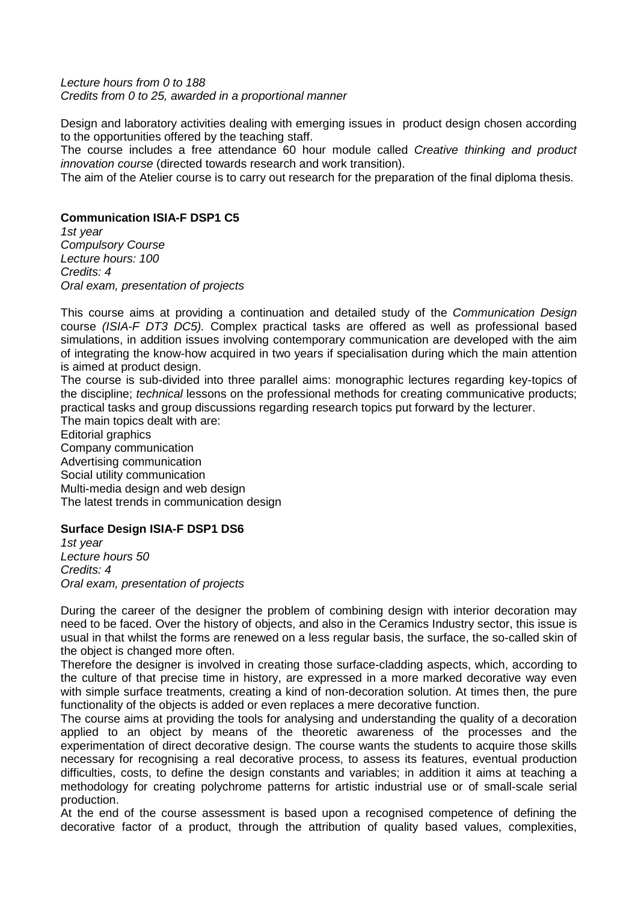#### *Lecture hours from 0 to 188 Credits from 0 to 25, awarded in a proportional manner*

Design and laboratory activities dealing with emerging issues in product design chosen according to the opportunities offered by the teaching staff.

The course includes a free attendance 60 hour module called *Creative thinking and product innovation course* (directed towards research and work transition).

The aim of the Atelier course is to carry out research for the preparation of the final diploma thesis.

## **Communication ISIA-F DSP1 C5**

*1st year Compulsory Course Lecture hours: 100 Credits: 4 Oral exam, presentation of projects*

This course aims at providing a continuation and detailed study of the *Communication Design* course *(ISIA-F DT3 DC5).* Complex practical tasks are offered as well as professional based simulations, in addition issues involving contemporary communication are developed with the aim of integrating the know-how acquired in two years if specialisation during which the main attention is aimed at product design.

The course is sub-divided into three parallel aims: monographic lectures regarding key-topics of the discipline; *technical* lessons on the professional methods for creating communicative products; practical tasks and group discussions regarding research topics put forward by the lecturer.

The main topics dealt with are: Editorial graphics Company communication Advertising communication Social utility communication Multi-media design and web design The latest trends in communication design

# **Surface Design ISIA-F DSP1 DS6**

*1st year Lecture hours 50 Credits: 4 Oral exam, presentation of projects*

During the career of the designer the problem of combining design with interior decoration may need to be faced. Over the history of objects, and also in the Ceramics Industry sector, this issue is usual in that whilst the forms are renewed on a less regular basis, the surface, the so-called skin of the object is changed more often.

Therefore the designer is involved in creating those surface-cladding aspects, which, according to the culture of that precise time in history, are expressed in a more marked decorative way even with simple surface treatments, creating a kind of non-decoration solution. At times then, the pure functionality of the objects is added or even replaces a mere decorative function.

The course aims at providing the tools for analysing and understanding the quality of a decoration applied to an object by means of the theoretic awareness of the processes and the experimentation of direct decorative design. The course wants the students to acquire those skills necessary for recognising a real decorative process, to assess its features, eventual production difficulties, costs, to define the design constants and variables; in addition it aims at teaching a methodology for creating polychrome patterns for artistic industrial use or of small-scale serial production.

At the end of the course assessment is based upon a recognised competence of defining the decorative factor of a product, through the attribution of quality based values, complexities,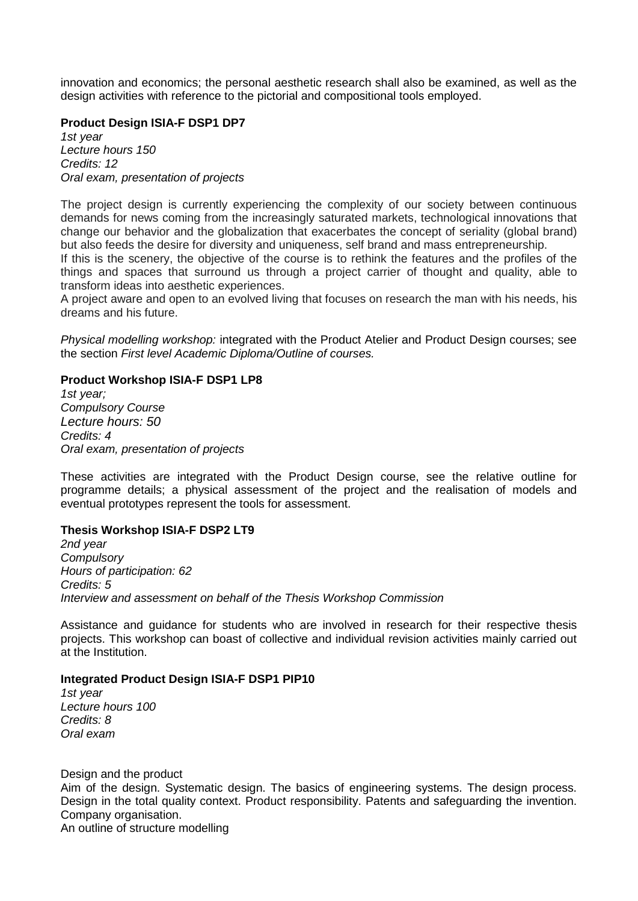innovation and economics; the personal aesthetic research shall also be examined, as well as the design activities with reference to the pictorial and compositional tools employed.

### **Product Design ISIA-F DSP1 DP7**

*1st year Lecture hours 150 Credits: 12 Oral exam, presentation of projects*

The project design is currently experiencing the complexity of our society between continuous demands for news coming from the increasingly saturated markets, technological innovations that change our behavior and the globalization that exacerbates the concept of seriality (global brand) but also feeds the desire for diversity and uniqueness, self brand and mass entrepreneurship.

If this is the scenery, the objective of the course is to rethink the features and the profiles of the things and spaces that surround us through a project carrier of thought and quality, able to transform ideas into aesthetic experiences.

A project aware and open to an evolved living that focuses on research the man with his needs, his dreams and his future.

*Physical modelling workshop:* integrated with the Product Atelier and Product Design courses; see the section *First level Academic Diploma/Outline of courses.*

### **Product Workshop ISIA-F DSP1 LP8**

*1st year; Compulsory Course Lecture hours: 50 Credits: 4 Oral exam, presentation of projects*

These activities are integrated with the Product Design course, see the relative outline for programme details; a physical assessment of the project and the realisation of models and eventual prototypes represent the tools for assessment.

### **Thesis Workshop ISIA-F DSP2 LT9**

*2nd year Compulsory Hours of participation: 62 Credits: 5 Interview and assessment on behalf of the Thesis Workshop Commission*

Assistance and guidance for students who are involved in research for their respective thesis projects. This workshop can boast of collective and individual revision activities mainly carried out at the Institution.

## **Integrated Product Design ISIA-F DSP1 PIP10**

*1st year Lecture hours 100 Credits: 8 Oral exam*

Design and the product Aim of the design. Systematic design. The basics of engineering systems. The design process. Design in the total quality context. Product responsibility. Patents and safeguarding the invention. Company organisation. An outline of structure modelling